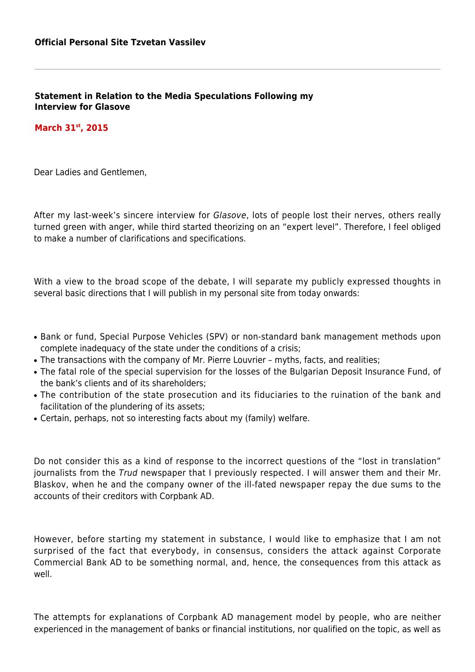**Statement in Relation to the Media Speculations Following my Interview for Glasove**

### **March 31st, 2015**

Dear Ladies and Gentlemen,

After my last-week's sincere interview for Glasove, lots of people lost their nerves, others really turned green with anger, while third started theorizing on an "expert level". Therefore, I feel obliged to make a number of clarifications and specifications.

With a view to the broad scope of the debate, I will separate my publicly expressed thoughts in several basic directions that I will publish in my personal site from today onwards:

- Bank or fund, Special Purpose Vehicles (SPV) or non-standard bank management methods upon complete inadequacy of the state under the conditions of a crisis;
- The transactions with the company of Mr. Pierre Louvrier myths, facts, and realities;
- The fatal role of the special supervision for the losses of the Bulgarian Deposit Insurance Fund, of the bank's clients and of its shareholders;
- The contribution of the state prosecution and its fiduciaries to the ruination of the bank and facilitation of the plundering of its assets;
- Certain, perhaps, not so interesting facts about my (family) welfare.

Do not consider this as a kind of response to the incorrect questions of the "lost in translation" journalists from the Trud newspaper that I previously respected. I will answer them and their Mr. Blaskov, when he and the company owner of the ill-fated newspaper repay the due sums to the accounts of their creditors with Corpbank AD.

However, before starting my statement in substance, I would like to emphasize that I am not surprised of the fact that everybody, in consensus, considers the attack against Corporate Commercial Bank AD to be something normal, and, hence, the consequences from this attack as well.

The attempts for explanations of Corpbank AD management model by people, who are neither experienced in the management of banks or financial institutions, nor qualified on the topic, as well as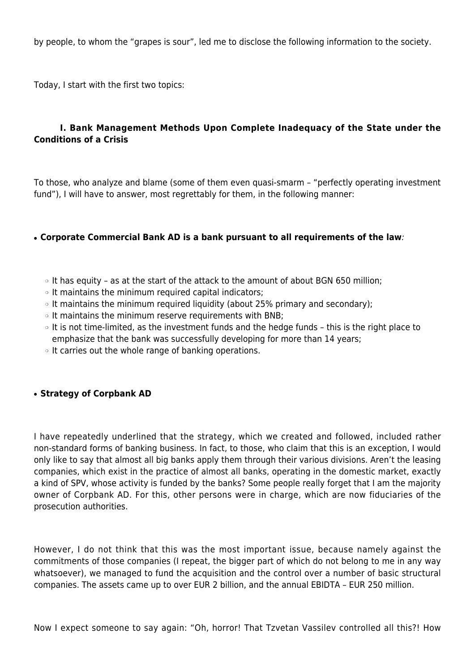by people, to whom the "grapes is sour", led me to disclose the following information to the society.

Today, I start with the first two topics:

## **I. Bank Management Methods Upon Complete Inadequacy of the State under the Conditions of a Crisis**

To those, who analyze and blame (some of them even quasi-smarm – "perfectly operating investment fund"), I will have to answer, most regrettably for them, in the following manner:

### ● **Corporate Commercial Bank AD is a bank pursuant to all requirements of the law**:

- ❍ It has equity as at the start of the attack to the amount of about BGN 650 million;
- ❍ It maintains the minimum required capital indicators;
- ❍ It maintains the minimum required liquidity (about 25% primary and secondary);
- ❍ It maintains the minimum reserve requirements with BNB;
- ❍ It is not time-limited, as the investment funds and the hedge funds this is the right place to emphasize that the bank was successfully developing for more than 14 years;
- ❍ It carries out the whole range of banking operations.

#### ● **Strategy of Corpbank AD**

I have repeatedly underlined that the strategy, which we created and followed, included rather non-standard forms of banking business. In fact, to those, who claim that this is an exception, I would only like to say that almost all big banks apply them through their various divisions. Aren't the leasing companies, which exist in the practice of almost all banks, operating in the domestic market, exactly a kind of SPV, whose activity is funded by the banks? Some people really forget that I am the majority owner of Corpbank AD. For this, other persons were in charge, which are now fiduciaries of the prosecution authorities.

However, I do not think that this was the most important issue, because namely against the commitments of those companies (I repeat, the bigger part of which do not belong to me in any way whatsoever), we managed to fund the acquisition and the control over a number of basic structural companies. The assets came up to over EUR 2 billion, and the annual EBIDTA – EUR 250 million.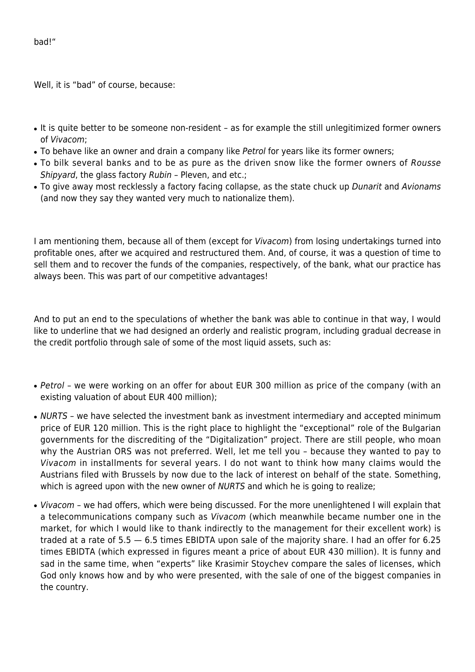bad!"

Well, it is "bad" of course, because:

- It is quite better to be someone non-resident as for example the still unlegitimized former owners of Vivacom;
- To behave like an owner and drain a company like Petrol for years like its former owners;
- To bilk several banks and to be as pure as the driven snow like the former owners of Rousse Shipyard, the glass factory Rubin – Pleven, and etc.;
- To give away most recklessly a factory facing collapse, as the state chuck up Dunarit and Avionams (and now they say they wanted very much to nationalize them).

I am mentioning them, because all of them (except for Vivacom) from losing undertakings turned into profitable ones, after we acquired and restructured them. And, of course, it was a question of time to sell them and to recover the funds of the companies, respectively, of the bank, what our practice has always been. This was part of our competitive advantages!

And to put an end to the speculations of whether the bank was able to continue in that way, I would like to underline that we had designed an orderly and realistic program, including gradual decrease in the credit portfolio through sale of some of the most liquid assets, such as:

- Petrol we were working on an offer for about EUR 300 million as price of the company (with an existing valuation of about EUR 400 million);
- NURTS we have selected the investment bank as investment intermediary and accepted minimum price of EUR 120 million. This is the right place to highlight the "exceptional" role of the Bulgarian governments for the discrediting of the "Digitalization" project. There are still people, who moan why the Austrian ORS was not preferred. Well, let me tell you – because they wanted to pay to Vivacom in installments for several years. I do not want to think how many claims would the Austrians filed with Brussels by now due to the lack of interest on behalf of the state. Something, which is agreed upon with the new owner of *NURTS* and which he is going to realize;
- Vivacom we had offers, which were being discussed. For the more unenlightened I will explain that a telecommunications company such as Vivacom (which meanwhile became number one in the market, for which I would like to thank indirectly to the management for their excellent work) is traded at a rate of 5.5 — 6.5 times EBIDTA upon sale of the majority share. I had an offer for 6.25 times EBIDTA (which expressed in figures meant a price of about EUR 430 million). It is funny and sad in the same time, when "experts" like Krasimir Stoychev compare the sales of licenses, which God only knows how and by who were presented, with the sale of one of the biggest companies in the country.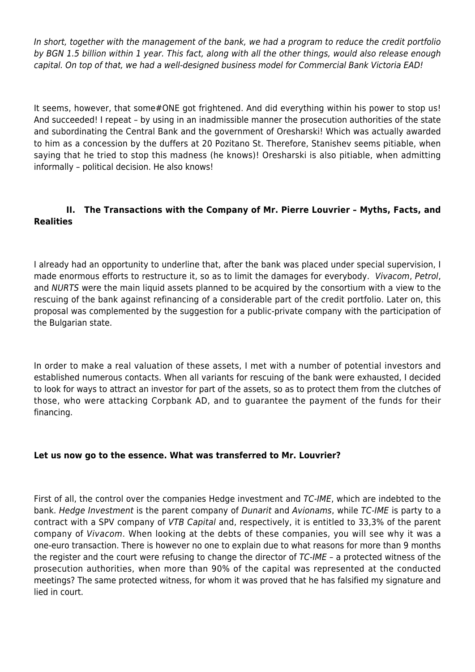In short, together with the management of the bank, we had a program to reduce the credit portfolio by BGN 1.5 billion within 1 year. This fact, along with all the other things, would also release enough capital. On top of that, we had a well-designed business model for Commercial Bank Victoria EAD!

It seems, however, that some#ONE got frightened. And did everything within his power to stop us! And succeeded! I repeat – by using in an inadmissible manner the prosecution authorities of the state and subordinating the Central Bank and the government of Oresharski! Which was actually awarded to him as a concession by the duffers at 20 Pozitano St. Therefore, Stanishev seems pitiable, when saying that he tried to stop this madness (he knows)! Oresharski is also pitiable, when admitting informally – political decision. He also knows!

# **II. The Transactions with the Company of Mr. Pierre Louvrier – Myths, Facts, and Realities**

I already had an opportunity to underline that, after the bank was placed under special supervision, I made enormous efforts to restructure it, so as to limit the damages for everybody. Vivacom, Petrol, and NURTS were the main liquid assets planned to be acquired by the consortium with a view to the rescuing of the bank against refinancing of a considerable part of the credit portfolio. Later on, this proposal was complemented by the suggestion for a public-private company with the participation of the Bulgarian state.

In order to make a real valuation of these assets, I met with a number of potential investors and established numerous contacts. When all variants for rescuing of the bank were exhausted, I decided to look for ways to attract an investor for part of the assets, so as to protect them from the clutches of those, who were attacking Corpbank AD, and to guarantee the payment of the funds for their financing.

## **Let us now go to the essence. What was transferred to Mr. Louvrier?**

First of all, the control over the companies Hedge investment and TC-IME, which are indebted to the bank. Hedge Investment is the parent company of Dunarit and Avionams, while TC-IME is party to a contract with a SPV company of VTB Capital and, respectively, it is entitled to 33,3% of the parent company of Vivacom. When looking at the debts of these companies, you will see why it was a one-euro transaction. There is however no one to explain due to what reasons for more than 9 months the register and the court were refusing to change the director of TC-IME – a protected witness of the prosecution authorities, when more than 90% of the capital was represented at the conducted meetings? The same protected witness, for whom it was proved that he has falsified my signature and lied in court.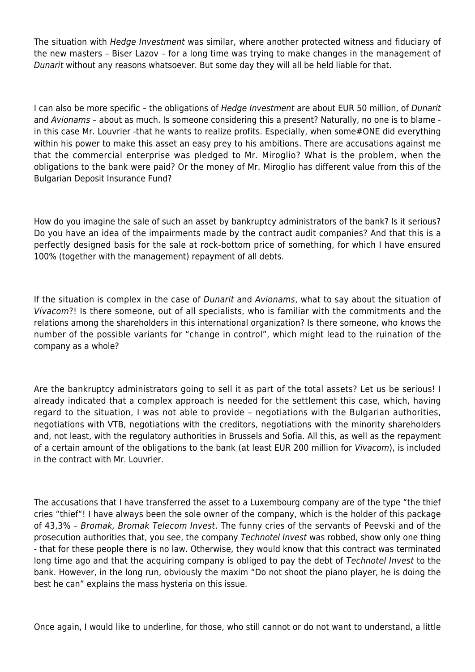The situation with *Hedge Investment* was similar, where another protected witness and fiduciary of the new masters – Biser Lazov – for a long time was trying to make changes in the management of Dunarit without any reasons whatsoever. But some day they will all be held liable for that.

I can also be more specific – the obligations of Hedge Investment are about EUR 50 million, of Dunarit and Avionams – about as much. Is someone considering this a present? Naturally, no one is to blame in this case Mr. Louvrier -that he wants to realize profits. Especially, when some#ONE did everything within his power to make this asset an easy prey to his ambitions. There are accusations against me that the commercial enterprise was pledged to Mr. Miroglio? What is the problem, when the obligations to the bank were paid? Or the money of Mr. Miroglio has different value from this of the Bulgarian Deposit Insurance Fund?

How do you imagine the sale of such an asset by bankruptcy administrators of the bank? Is it serious? Do you have an idea of the impairments made by the contract audit companies? And that this is a perfectly designed basis for the sale at rock-bottom price of something, for which I have ensured 100% (together with the management) repayment of all debts.

If the situation is complex in the case of Dunarit and Avionams, what to say about the situation of Vivacom?! Is there someone, out of all specialists, who is familiar with the commitments and the relations among the shareholders in this international organization? Is there someone, who knows the number of the possible variants for "change in control", which might lead to the ruination of the company as a whole?

Are the bankruptcy administrators going to sell it as part of the total assets? Let us be serious! I already indicated that a complex approach is needed for the settlement this case, which, having regard to the situation, I was not able to provide – negotiations with the Bulgarian authorities, negotiations with VTB, negotiations with the creditors, negotiations with the minority shareholders and, not least, with the regulatory authorities in Brussels and Sofia. All this, as well as the repayment of a certain amount of the obligations to the bank (at least EUR 200 million for Vivacom), is included in the contract with Mr. Louvrier.

The accusations that I have transferred the asset to a Luxembourg company are of the type "the thief cries "thief"! I have always been the sole owner of the company, which is the holder of this package of 43,3% – Bromak, Bromak Telecom Invest. The funny cries of the servants of Peevski and of the prosecution authorities that, you see, the company Technotel Invest was robbed, show only one thing - that for these people there is no law. Otherwise, they would know that this contract was terminated long time ago and that the acquiring company is obliged to pay the debt of Technotel Invest to the bank. However, in the long run, obviously the maxim "Do not shoot the piano player, he is doing the best he can" explains the mass hysteria on this issue.

Once again, I would like to underline, for those, who still cannot or do not want to understand, a little